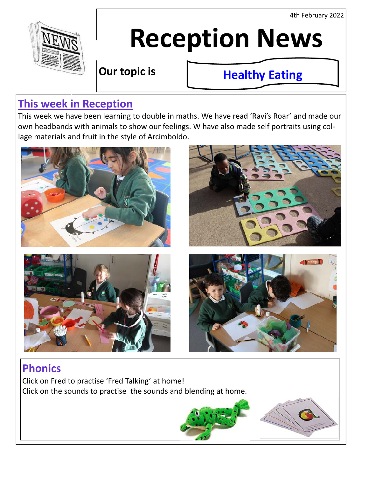4th February 2022



# **Reception News**

**Our topic is** 

# **Healthy Eating**

## **This week in Reception**

This week we have been learning to double in maths. We have read 'Ravi's Roar' and made our own headbands with animals to show our feelings. W have also made self portraits using col‐ lage materials and fruit in the style of Arcimboldo.



## **Phonics**

Click on Fred to practise 'Fred Talking' at home! Click on the sounds to practise the sounds and blending at home.